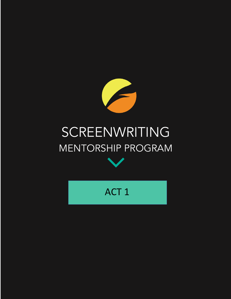

# SCREENWRITING MENTORSHIP PROGRAM



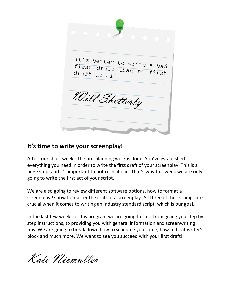

# **It's time to write your screenplay!**

After four short weeks, the pre-planning work is done. You've established everything you need in order to write the first draft of your screenplay. This is a huge step, and it's important to not rush ahead. That's why this week we are only going to write the first act of your script.

We are also going to review different software options, how to format a screenplay & how to master the craft of a screenplay. All three of these things are crucial when it comes to writing an industry standard script, which is our goal.

In the last few weeks of this program we are going to shift from giving you step by step instructions, to providing you with general information and screenwriting tips. We are going to break down how to schedule your time, how to beat writer's block and much more. We want to see you succeed with your first draft!

Kate Niemuller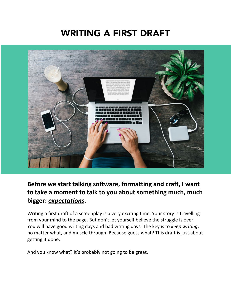# WRITING A FIRST DRAFT



# **Before we start talking software, formatting and craft, I want to take a moment to talk to you about something much, much bigger:** *expectations***.**

Writing a first draft of a screenplay is a very exciting time. Your story is travelling from your mind to the page. But don't let yourself believe the struggle is over. You will have good writing days and bad writing days. The key is to *keep writing*, no matter what, and muscle through. Because guess what? This draft is just about getting it done.

And you know what? It's probably not going to be great.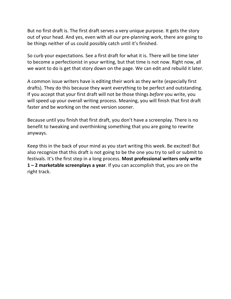But no first draft is. The first draft serves a very unique purpose. It gets the story out of your head. And yes, even with all our pre-planning work, there are going to be things neither of us could possibly catch until it's finished.

So curb your expectations. See a first draft for what it is. There will be time later to become a perfectionist in your writing, but that time is not now. Right now, all we want to do is get that story down on the page. We can edit and rebuild it later.

A common issue writers have is editing their work as they write (especially first drafts). They do this because they want everything to be perfect and outstanding. If you accept that your first draft will not be those things *before* you write, you will speed up your overall writing process. Meaning, you will finish that first draft faster and be working on the next version sooner.

Because until you finish that first draft, you don't have a screenplay. There is no benefit to tweaking and overthinking something that you are going to rewrite anyways.

Keep this in the back of your mind as you start writing this week. Be excited! But also recognize that this draft is not going to be the one you try to sell or submit to festivals. It's the first step in a long process. **Most professional writers only write 1 – 2 marketable screenplays a year**. If you can accomplish that, you are on the right track.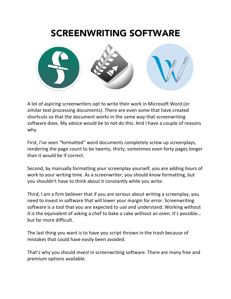# SCREENWRITING SOFTWARE



A lot of aspiring screenwriters opt to write their work in Microsoft Word (or similar text processing documents). There are even some that have created shortcuts so that the document works in the same way that screenwriting software does. My advice would be to *not* do this. And I have a couple of reasons why.

First, I've seen "formatted" word documents completely screw up screenplays, rendering the page count to be twenty, thirty, sometimes even forty pages longer than it would be if correct.

Second, by manually formatting your screenplay yourself, you are adding *hours* of work to your writing time. As a screenwriter, you should *know* formatting, but you shouldn't have to think about it constantly while you write.

Third, I am a firm believer that if you are serious about writing a screenplay, you need to invest in software that will lower your margin for error. Screenwriting software is a tool that you are expected to use and understand. Working without it is the equivalent of asking a chef to bake a cake without an oven. It's possible… but far more difficult.

The last thing you want is to have you script thrown in the trash because of mistakes that could have easily been avoided.

That's why you should *invest* in screenwriting software. There are many free and premium options available.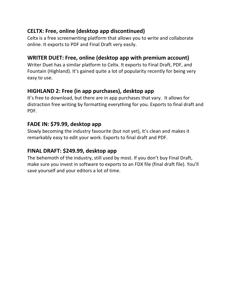# **CELTX: Free, online (desktop app discontinued)**

Celtx is a free screenwriting platform that allows you to write and collaborate online. It exports to PDF and Final Draft very easily.

## **WRITER DUET: Free, online (desktop app with premium account)**

Writer Duet has a similar platform to Celtx. It exports to Final Draft, PDF, and Fountain (Highland). It's gained quite a lot of popularity recently for being very easy to use.

# **HIGHLAND 2: Free (in app purchases), desktop app**

It's free to download, but there are in app purchases that vary. It allows for distraction free writing by formatting everything for you. Exports to final draft and PDF.

## **FADE IN: \$79.99, desktop app**

Slowly becoming the industry favourite (but not yet), it's clean and makes it remarkably easy to edit your work. Exports to final draft and PDF.

# **FINAL DRAFT: \$249.99, desktop app**

The behemoth of the industry, still used by most. If you don't buy Final Draft, make sure you invest in software to exports to an FDX file (final draft file). You'll save yourself and your editors a lot of time.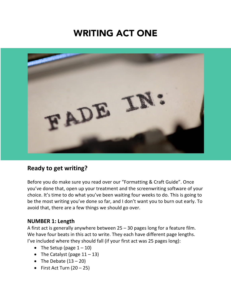# WRITING ACT ONE



# **Ready to get writing?**

Before you do make sure you read over our "Formatting & Craft Guide". Once you've done that, open up your treatment and the screenwriting software of your choice. It's time to do what you've been waiting four weeks to do. This is going to be the most writing you've done so far, and I don't want you to burn out early. To avoid that, there are a few things we should go over.

#### **NUMBER 1: Length**

A first act is generally anywhere between 25 – 30 pages long for a feature film. We have four beats in this act to write. They each have different page lengths. I've included where they should fall (if your first act was 25 pages long):

- The Setup (page  $1 10$ )
- The Catalyst (page  $11 13$ )
- The Debate  $(13 20)$
- First Act Turn  $(20 25)$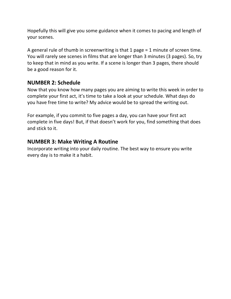Hopefully this will give you some guidance when it comes to pacing and length of your scenes.

A general rule of thumb in screenwriting is that 1 page = 1 minute of screen time. You will rarely see scenes in films that are longer than 3 minutes (3 pages). So, try to keep that in mind as you write. If a scene is longer than 3 pages, there should be a good reason for it.

#### **NUMBER 2: Schedule**

Now that you know how many pages you are aiming to write this week in order to complete your first act, it's time to take a look at your schedule. What days do you have free time to write? My advice would be to spread the writing out.

For example, if you commit to five pages a day, you can have your first act complete in five days! But, if that doesn't work for you, find something that does and stick to it.

#### **NUMBER 3: Make Writing A Routine**

Incorporate writing into your daily routine. The best way to ensure you write every day is to make it a habit.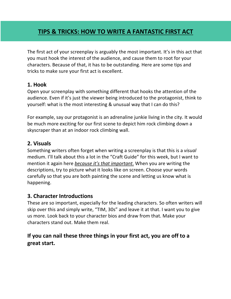# **TIPS & TRICKS: HOW TO WRITE A FANTASTIC FIRST ACT**

The first act of your screenplay is arguably the most important. It's in this act that you must hook the interest of the audience, and cause them to root for your characters. Because of that, it has to be outstanding. Here are some tips and tricks to make sure your first act is excellent.

#### **1. Hook**

Open your screenplay with something different that hooks the attention of the audience. Even if it's just the viewer being introduced to the protagonist, think to yourself: what is the most interesting & unusual way that I can do this?

For example, say our protagonist is an adrenaline junkie living in the city. It would be much more exciting for our first scene to depict him rock climbing down a skyscraper than at an indoor rock climbing wall.

#### **2. Visuals**

Something writers often forget when writing a screenplay is that this is a *visual* medium. I'll talk about this a lot in the "Craft Guide" for this week, but I want to mention it again here *because it's that important*. When you are writing the descriptions, try to picture what it looks like on screen. Choose your words carefully so that you are both painting the scene and letting us know what is happening.

#### **3. Character Introductions**

These are so important, especially for the leading characters. So often writers will skip over this and simply write, "TIM, 30s" and leave it at that. I want you to give us more. Look back to your character bios and draw from that. Make your characters stand out. Make them real.

#### **If you can nail these three things in your first act, you are off to a great start.**